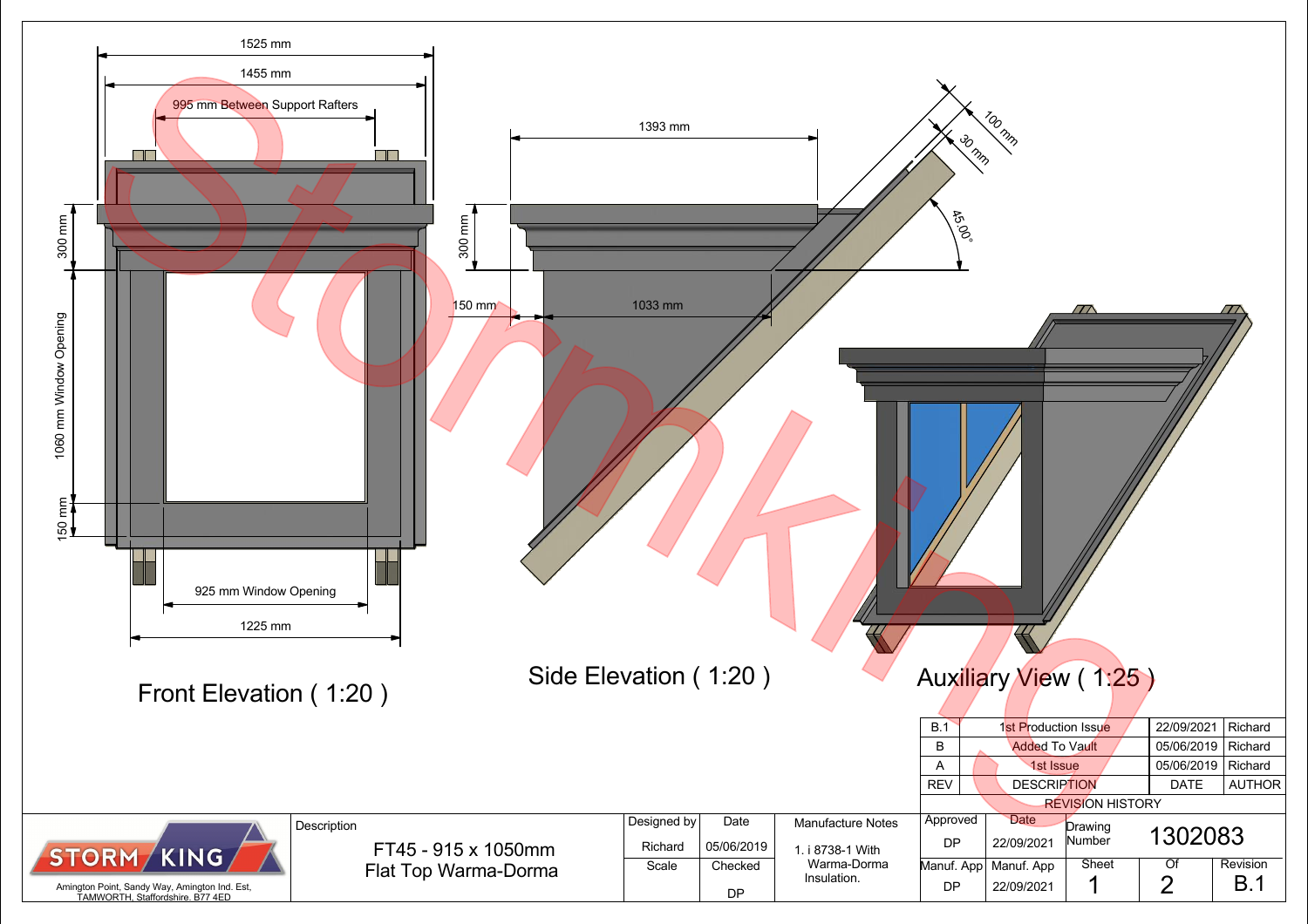